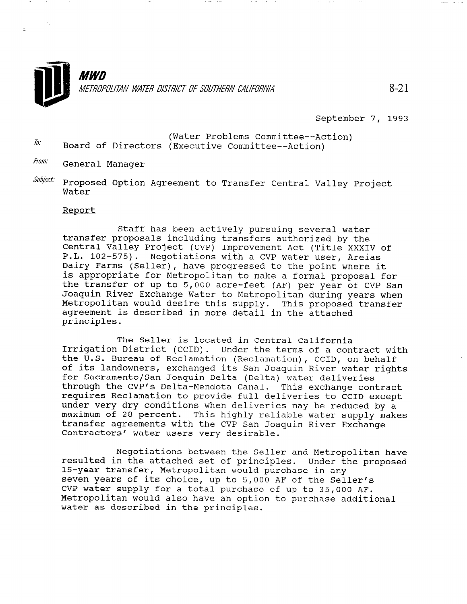

September 7, 1993

- (Water Problems Committee--Action)<br>
Form of Directors (Executive Committee Action) Board of Directors (Executive Committee--Action)
- From: General Manager
- $\textit{Subject:}$  Proposed Option Agreement to Transfer Central Valley Project Water

## Report

Staff has been actively pursuing several water transfer proposals including transfers authorized by the Central Valley Project (CVP) Improvement Act (Title XXXIV of P.L. 102-575). Negotiations with a CVP water user, Areias Dairy Farms (Seller), have progressed to the point where it is appropriate for Metropolitan to make a formal proposal for the transfer of up to 5,000 acre-feet (AF) per year of CVP San Joaquin River Exchange Water to Metropolitan during years when Metropolitan would desire this supply. This proposed transfer agreement is described in more detail in the attached principles.

The Seller is located in Central California Irrigation District (CCID). Under the terms of a contract with the U.S. Bureau of Reclamation (Reclamation), CCID, on behalf of its landowners, exchanged its San Joaquin River water rights for Sacramento/San Joaquin Delta (Delta) water deliveries through the CVP's Delta-Mendota Canal. This exchange contract requires Reclamation to provide full deliveries to CCID except under very dry conditions when deliveries may be reduced by a under very dry conditions when defiveries may be reduced by a maximum of zo percenc. This highly reflable water Supply transfer agreements with the CVP San Joaquin River Exchange Contractors' water users very desirable.

Negotiations between the Seller and Metropolitan have regourations between the serier and metropolitan nav resurced in the attached set of principles. Under t 15-year transfer, Metropolitan would purchase in any seven years of its choice, up to  $5,000$  AF of the Seller's CVP water supply for a total purchase of up to 35,000 AF. Metropolitan would also have an option to purchase additional<br>water as described in the principles.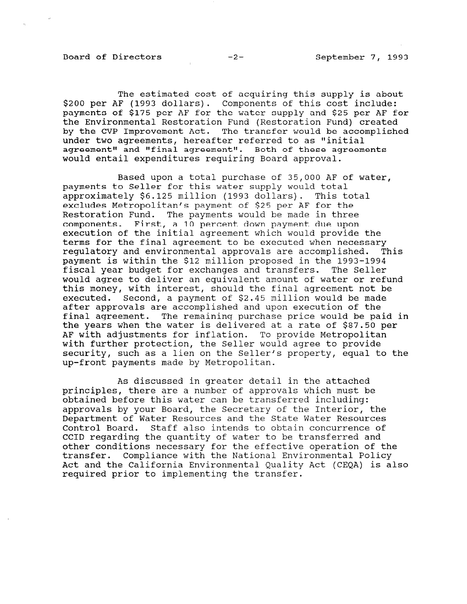The estimated cost of acquiring this supply is about \$200 per AF (1993 dollars). Components of this cost include: payments of \$175 per AF for the water supply and \$25 per AF for the Environmental Restoration Fund (Restoration Fund) created by the CVP Improvement Act. The transfer would be accomplished under two agreements, hereafter referred to as "initial agreement" and "final agreement". Both of these agreements would entail expenditures requiring Board approval.

Based upon a total purchase of 35,000 AF of water, payments to Seller for this water supply would total approximately \$6.125 million (1993 dollars). This total excludes Metropolitan's payment of \$25 per AF for the Restoration Fund. The payments would be made in three components. First, a 10 percent down payment due upon execution of the initial agreement which would provide the terms for the final agreement to be executed when necessary regulatory and environmental approvals are accomplished. This payment is within the \$12 million proposed in the 1993-1994 fiscal year budget for exchanges and transfers. The Seller would agree to deliver an equivalent amount of water or refund this money, with interest, should the final agreement not be executed. Second, a payment of \$2.45 million would be made after approvals are accomplished and upon execution of the final agreement. The remaining purchase price would be paid in the years when the water is delivered at a rate of \$87.50 per AF with adjustments for inflation. To provide Metropolitan with further protection, the Seller would agree to provide security, such as a lien on the Seller's property, equal to the up-front payments made by Metropolitan.

As discussed in greater detail in the attached principles, there are a number of approvals which must be obtained before this water can be transferred including: approvals by your Board, the Secretary of the Interior, the Department of Water Resources and the State Water Resources Control Board. Staff also intends to obtain concurrence of CCID regarding the quantity of water to be transferred and other conditions necessary for the effective operation of the transfer. Compliance with the National Environmental Policy Act and the California Environmental Quality Act (CEQA) is also required prior to implementing the transfer.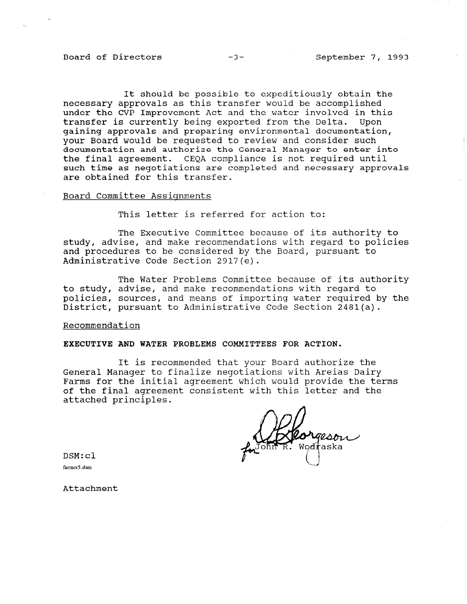# Board of Directors  $-3-$  September 7, 1993

It should be possible to expeditiously obtain the necessary approvals as this transfer would be accomplished under the CVP Improvement Act and the water involved in this transfer is currently being exported from the Delta. Upon gaining approvals and preparing environmental documentation, your Board would be requested to review and consider such documentation and authorize the General Manager to enter into the final agreement. CEQA compliance is not required until such time as negotiations are completed and necessary approvals are obtained for this transfer.

#### Board Committee Assignments

This letter is referred for action to:

The Executive Committee because of its authority to study, advise, and make recommendations with regard to policies and procedures to be considered by the Board, pursuant to Administrative Code Section 2917(e).

The Water Problems Committee because of its authority to study, advise, and make recommendations with regard to policies, sources, and means of importing water required by the District, pursuant to Administrative Code Section 2481(a).

## Recommendation

## EXECUTIVE AND WATER PROBLEMS COMMITTEES FOR ACTION.

It is recommended that your Board authorize the General Manager to finalize negotiations with Areias Dairy Farms for the initial agreement which would provide the terms of the final agreement consistent with this letter and the attached principles.

geson Wodi aska

DSM:cl

fanner5 .dsm

Attachment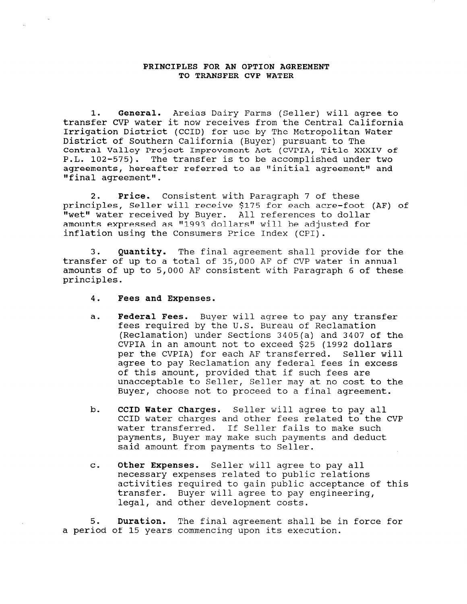## PRINCIPLES FOR AN OPTION AGREEMENT TO TRANSFER CVP WATER

1. General. Areias Dairy Farms (Seller) will agree to transfer CVP water it now receives from the Central California Irrigation District (CCID) for use by The Metropolitan Water District of Southern California (Buyer) pursuant to The Central Valley Project Improvement Act (CVPIA, Title XXXIV of P.L. 102-575). The transfer is to be accomplished under two agreements, hereafter referred to as "initial agreement" and "final agreement".

2. Price. Consistent with Paragraph 7 of these principles, Seller will receive \$175 for each acre-foot (AF) of "wet" water received by Buyer. All references to dollar amounts expressed as "1993 dollars" will be adjusted for inflation using the Consumers Price Index (CPI).

3. Quantity. The final agreement shall provide for the transfer of up to a total of 35,000 AF of CVP water in annual amounts of up to 5,000 AF consistent with Paragraph 6 of these principles.

- 4. Fees and Expenses.
- a. Federal Fees. Buyer will agree to pay any transfer fees required by the U.S. Bureau of Reclamation (Reclamation) under Sections 3405(a) and 3407 of the CVPIA in an amount not to exceed \$25 (1992 dollars per the CVPIA) for each AF transferred. Seller will agree to pay Reclamation any federal fees in excess of this amount, provided that if such fees are unacceptable to Seller, Seller may at no cost to the Buyer, choose not to proceed to a final agreement.
- b. CCID Water Charges. Seller will agree to pay all CCID water charges and other fees related to the CVP water transferred. If Seller fails to make such payments, Buyer may make such payments and deduct said amount from payments to Seller.
- C. Other Expenses. Seller will agree to pay all necessary expenses related to public relations activities required to gain public relations in the model of this accivities required to gain public acceptant and the pay engineering and all provide the mathematic state and the state of the state of the state of the state of the state of the state of the state of the state of the stat transfer. Buyer will agree to pay engineering,<br>legal, and other development costs.

5. Duration. The final agreement shall be in force for a period of 15 years commencing upon its execution.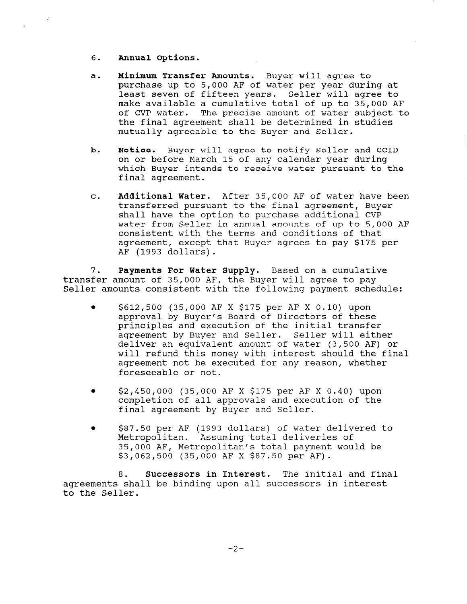- 6. Annual Options.
- a. Minimum Transfer Amounts. Buyer will agree to purchase up to 5,000 AF of water per year during at least seven of fifteen years. Seller will agree to make available a cumulative total of up to 35,000 AF of CVP water. The precise amount of water subject to the final agreement shall be determined in studies mutually agreeable to the Buyer and Seller.
- b. Notice. Buyer will agree to notify Seller and CCID on or before March 15 of any calendar year during which Buyer intends to receive water pursuant to the final agreement.
- C. Additional Water. After 35,000 AF of water have been transferred pursuant to the final agreement, Buyer shall have the option to purchase additional CVP water from Seller in annual amounts of up to 5,000 AF consistent with the terms and conditions of that agreement, except that Buyer agrees to pay \$175 per AF (1993 dollars).

7. Payments For Water Supply. Based on a cumulative transfer amount of 35,000 AF, the Buyer will agree to pay Seller amounts consistent with the following payment schedule:

- \$612,500 (35,000 AF X \$175 per AF X 0.10) upon approval by Buyer's Board of Directors of these principles and execution of the initial transfer agreement by Buyer and Seller. Seller will either deliver an equivalent amount of water (3,500 AF) or will refund this money with interest should the final agreement not be executed for any reason, whether foreseeable or not.
- <sup>l</sup>\$2,450,000 (35,000 AF X \$175 per AF X 0.40) upon completion of all approvals and execution of the final agreement by Buyer and Seller.
- \$87.50 per AF (1993 dollars) of water delivered to Metropolitan. Assuming total deliveries of 35,000 AF, Metropolitan's total payment would be \$3,062,500 (35,000 AF X \$87.50 per AF).

8. Successors in Interest. The initial and final  $\alpha$  and  $\alpha$  be binding upon all successors in interesting upon all successors in  $\alpha$ ayreements<br>...th.com